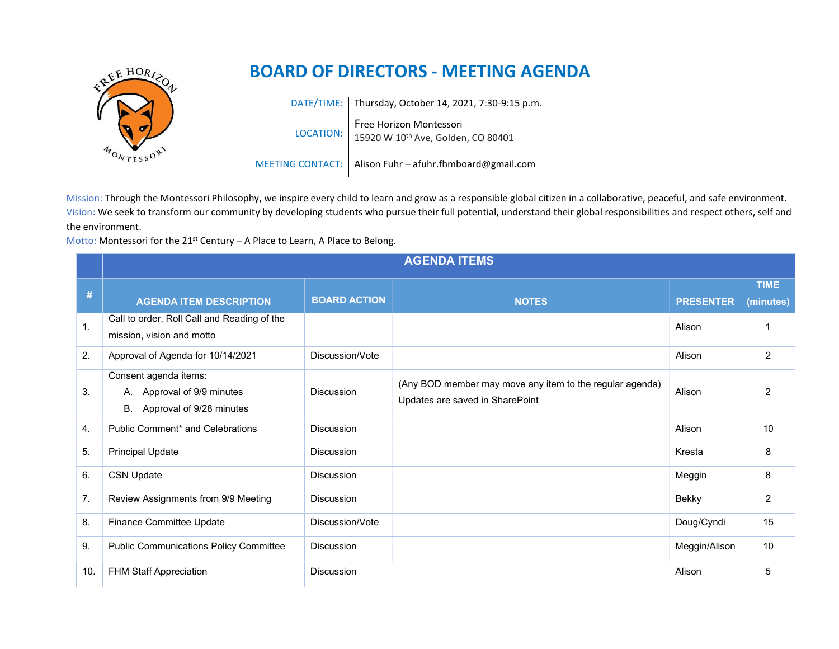

## BOARD OF DIRECTORS - MEETING AGENDA

DATE/TIME: Thursday, October 14, 2021, 7:30-9:15 p.m. LOCATION: Free Horizon Montessori 15920 W 10th Ave, Golden, CO 80401

MEETING CONTACT: | Alison Fuhr – afuhr.fhmboard@gmail.com

Mission: Through the Montessori Philosophy, we inspire every child to learn and grow as a responsible global citizen in a collaborative, peaceful, and safe environment. Vision: We seek to transform our community by developing students who pursue their full potential, understand their global responsibilities and respect others, self and the environment.

Motto: Montessori for the  $21^{st}$  Century – A Place to Learn, A Place to Belong.

|                | <b>AGENDA ITEMS</b>                                                                   |                     |                                                                                             |                  |                          |  |  |  |
|----------------|---------------------------------------------------------------------------------------|---------------------|---------------------------------------------------------------------------------------------|------------------|--------------------------|--|--|--|
| #              | <b>AGENDA ITEM DESCRIPTION</b>                                                        | <b>BOARD ACTION</b> | <b>NOTES</b>                                                                                | <b>PRESENTER</b> | <b>TIME</b><br>(minutes) |  |  |  |
| $\mathbf{1}$ . | Call to order, Roll Call and Reading of the<br>mission, vision and motto              |                     |                                                                                             | Alison           |                          |  |  |  |
| 2.             | Approval of Agenda for 10/14/2021                                                     | Discussion/Vote     |                                                                                             | Alison           | $\overline{2}$           |  |  |  |
| 3.             | Consent agenda items:<br>A. Approval of 9/9 minutes<br>Approval of 9/28 minutes<br>В. | <b>Discussion</b>   | (Any BOD member may move any item to the regular agenda)<br>Updates are saved in SharePoint | Alison           | $\overline{2}$           |  |  |  |
| 4.             | Public Comment* and Celebrations                                                      | <b>Discussion</b>   |                                                                                             | Alison           | 10                       |  |  |  |
| 5.             | <b>Principal Update</b>                                                               | <b>Discussion</b>   |                                                                                             | Kresta           | 8                        |  |  |  |
| 6.             | <b>CSN Update</b>                                                                     | <b>Discussion</b>   |                                                                                             | Meggin           | 8                        |  |  |  |
| 7.             | Review Assignments from 9/9 Meeting                                                   | <b>Discussion</b>   |                                                                                             | Bekky            | 2                        |  |  |  |
| 8.             | Finance Committee Update                                                              | Discussion/Vote     |                                                                                             | Doug/Cyndi       | 15                       |  |  |  |
| 9.             | <b>Public Communications Policy Committee</b>                                         | <b>Discussion</b>   |                                                                                             | Meggin/Alison    | 10                       |  |  |  |
| 10.            | FHM Staff Appreciation                                                                | <b>Discussion</b>   |                                                                                             | Alison           | 5                        |  |  |  |